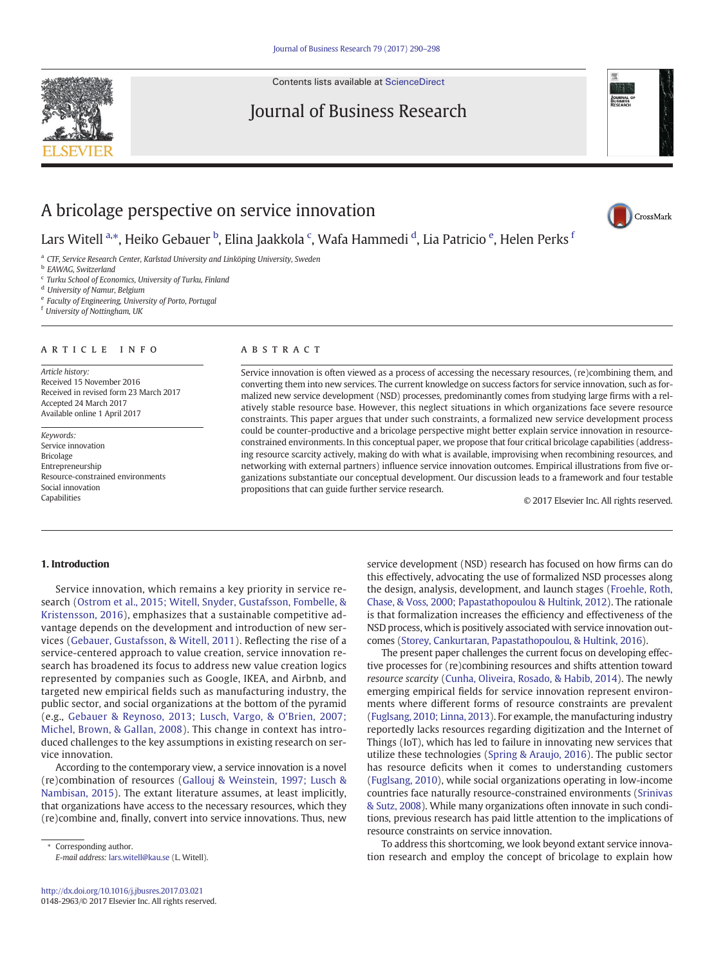Contents lists available at [ScienceDirect](http://www.sciencedirect.com/science/journal/01482963)

# Journal of Business Research

# A bricolage perspective on service innovation

Lars Witell <sup>a,</sup>\*, Heiko Gebauer <sup>b</sup>, Elina Jaakkola <sup>c</sup>, Wafa Hammedi <sup>d</sup>, Lia Patricio <sup>e</sup>, Helen Perks <sup>f</sup>

<sup>a</sup> CTF, Service Research Center, Karlstad University and Linköping University, Sweden

- **b** EAWAG, Switzerland
- <sup>c</sup> Turku School of Economics, University of Turku, Finland

<sup>d</sup> University of Namur, Belgium

<sup>e</sup> Faculty of Engineering, University of Porto, Portugal

<sup>f</sup> University of Nottingham, UK

# article info abstract

Article history: Received 15 November 2016 Received in revised form 23 March 2017 Accepted 24 March 2017 Available online 1 April 2017

Keywords: Service innovation Bricolage Entrepreneurship Resource-constrained environments Social innovation Capabilities

Service innovation is often viewed as a process of accessing the necessary resources, (re)combining them, and converting them into new services. The current knowledge on success factors for service innovation, such as formalized new service development (NSD) processes, predominantly comes from studying large firms with a relatively stable resource base. However, this neglect situations in which organizations face severe resource constraints. This paper argues that under such constraints, a formalized new service development process could be counter-productive and a bricolage perspective might better explain service innovation in resourceconstrained environments. In this conceptual paper, we propose that four critical bricolage capabilities (addressing resource scarcity actively, making do with what is available, improvising when recombining resources, and networking with external partners) influence service innovation outcomes. Empirical illustrations from five organizations substantiate our conceptual development. Our discussion leads to a framework and four testable propositions that can guide further service research.

© 2017 Elsevier Inc. All rights reserved.

## 1. Introduction

Service innovation, which remains a key priority in service research ([Ostrom et al., 2015; Witell, Snyder, Gustafsson, Fombelle, &](#page-8-0) [Kristensson, 2016](#page-8-0)), emphasizes that a sustainable competitive advantage depends on the development and introduction of new services [\(Gebauer, Gustafsson, & Witell, 2011](#page-8-0)). Reflecting the rise of a service-centered approach to value creation, service innovation research has broadened its focus to address new value creation logics represented by companies such as Google, IKEA, and Airbnb, and targeted new empirical fields such as manufacturing industry, the public sector, and social organizations at the bottom of the pyramid (e.g., [Gebauer & Reynoso, 2013; Lusch, Vargo, & O'Brien, 2007;](#page-8-0) [Michel, Brown, & Gallan, 2008](#page-8-0)). This change in context has introduced challenges to the key assumptions in existing research on service innovation.

According to the contemporary view, a service innovation is a novel (re)combination of resources ([Gallouj & Weinstein, 1997; Lusch &](#page-8-0) [Nambisan, 2015\)](#page-8-0). The extant literature assumes, at least implicitly, that organizations have access to the necessary resources, which they (re)combine and, finally, convert into service innovations. Thus, new

Corresponding author.

E-mail address: [lars.witell@kau.se](mailto:lars.witell@kau.se) (L. Witell).

service development (NSD) research has focused on how firms can do this effectively, advocating the use of formalized NSD processes along the design, analysis, development, and launch stages [\(Froehle, Roth,](#page-8-0) [Chase, & Voss, 2000; Papastathopoulou & Hultink, 2012\)](#page-8-0). The rationale is that formalization increases the efficiency and effectiveness of the NSD process, which is positively associated with service innovation outcomes ([Storey, Cankurtaran, Papastathopoulou, & Hultink, 2016\)](#page-8-0).

The present paper challenges the current focus on developing effective processes for (re)combining resources and shifts attention toward resource scarcity [\(Cunha, Oliveira, Rosado, & Habib, 2014](#page-7-0)). The newly emerging empirical fields for service innovation represent environments where different forms of resource constraints are prevalent [\(Fuglsang, 2010; Linna, 2013](#page-8-0)). For example, the manufacturing industry reportedly lacks resources regarding digitization and the Internet of Things (IoT), which has led to failure in innovating new services that utilize these technologies [\(Spring & Araujo, 2016](#page-8-0)). The public sector has resource deficits when it comes to understanding customers [\(Fuglsang, 2010](#page-8-0)), while social organizations operating in low-income countries face naturally resource-constrained environments [\(Srinivas](#page-8-0) [& Sutz, 2008](#page-8-0)). While many organizations often innovate in such conditions, previous research has paid little attention to the implications of resource constraints on service innovation.

To address this shortcoming, we look beyond extant service innovation research and employ the concept of bricolage to explain how





CrossMark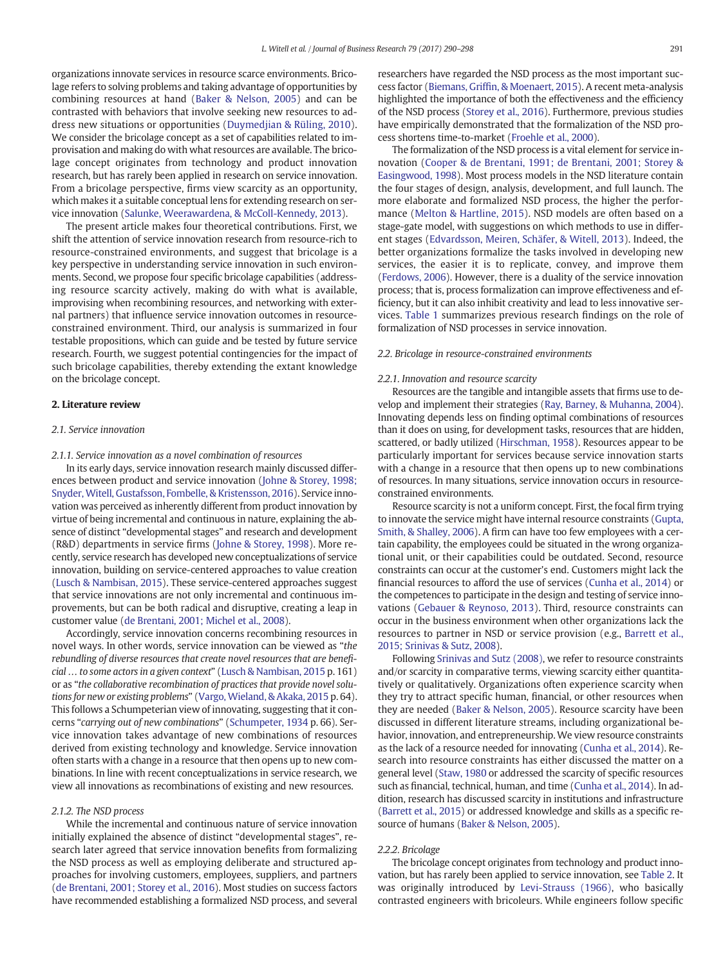organizations innovate services in resource scarce environments. Bricolage refers to solving problems and taking advantage of opportunities by combining resources at hand ([Baker & Nelson, 2005\)](#page-7-0) and can be contrasted with behaviors that involve seeking new resources to address new situations or opportunities ([Duymedjian & Rüling, 2010](#page-8-0)). We consider the bricolage concept as a set of capabilities related to improvisation and making do with what resources are available. The bricolage concept originates from technology and product innovation research, but has rarely been applied in research on service innovation. From a bricolage perspective, firms view scarcity as an opportunity, which makes it a suitable conceptual lens for extending research on service innovation ([Salunke, Weerawardena, & McColl-Kennedy, 2013\)](#page-8-0).

The present article makes four theoretical contributions. First, we shift the attention of service innovation research from resource-rich to resource-constrained environments, and suggest that bricolage is a key perspective in understanding service innovation in such environments. Second, we propose four specific bricolage capabilities (addressing resource scarcity actively, making do with what is available, improvising when recombining resources, and networking with external partners) that influence service innovation outcomes in resourceconstrained environment. Third, our analysis is summarized in four testable propositions, which can guide and be tested by future service research. Fourth, we suggest potential contingencies for the impact of such bricolage capabilities, thereby extending the extant knowledge on the bricolage concept.

### 2. Literature review

### 2.1. Service innovation

#### 2.1.1. Service innovation as a novel combination of resources

In its early days, service innovation research mainly discussed differences between product and service innovation ([Johne & Storey, 1998;](#page-8-0) [Snyder, Witell, Gustafsson, Fombelle, & Kristensson, 2016](#page-8-0)). Service innovation was perceived as inherently different from product innovation by virtue of being incremental and continuous in nature, explaining the absence of distinct "developmental stages" and research and development (R&D) departments in service firms ([Johne & Storey, 1998\)](#page-8-0). More recently, service research has developed new conceptualizations of service innovation, building on service-centered approaches to value creation [\(Lusch & Nambisan, 2015](#page-8-0)). These service-centered approaches suggest that service innovations are not only incremental and continuous improvements, but can be both radical and disruptive, creating a leap in customer value [\(de Brentani, 2001; Michel et al., 2008\)](#page-7-0).

Accordingly, service innovation concerns recombining resources in novel ways. In other words, service innovation can be viewed as "the rebundling of diverse resources that create novel resources that are beneficial … to some actors in a given context" ([Lusch & Nambisan, 2015](#page-8-0) p. 161) or as "the collaborative recombination of practices that provide novel solutions for new or existing problems" [\(Vargo, Wieland, & Akaka, 2015](#page-8-0) p. 64). This follows a Schumpeterian view of innovating, suggesting that it concerns "carrying out of new combinations" ([Schumpeter, 1934](#page-8-0) p. 66). Service innovation takes advantage of new combinations of resources derived from existing technology and knowledge. Service innovation often starts with a change in a resource that then opens up to new combinations. In line with recent conceptualizations in service research, we view all innovations as recombinations of existing and new resources.

#### 2.1.2. The NSD process

While the incremental and continuous nature of service innovation initially explained the absence of distinct "developmental stages", research later agreed that service innovation benefits from formalizing the NSD process as well as employing deliberate and structured approaches for involving customers, employees, suppliers, and partners [\(de Brentani, 2001; Storey et al., 2016](#page-7-0)). Most studies on success factors have recommended establishing a formalized NSD process, and several researchers have regarded the NSD process as the most important success factor (Biemans, Griffi[n, & Moenaert, 2015\)](#page-7-0). A recent meta-analysis highlighted the importance of both the effectiveness and the efficiency of the NSD process [\(Storey et al., 2016\)](#page-8-0). Furthermore, previous studies have empirically demonstrated that the formalization of the NSD process shortens time-to-market [\(Froehle et al., 2000\)](#page-8-0).

The formalization of the NSD process is a vital element for service innovation [\(Cooper & de Brentani, 1991; de Brentani, 2001; Storey &](#page-7-0) [Easingwood, 1998](#page-7-0)). Most process models in the NSD literature contain the four stages of design, analysis, development, and full launch. The more elaborate and formalized NSD process, the higher the performance ([Melton & Hartline, 2015\)](#page-8-0). NSD models are often based on a stage-gate model, with suggestions on which methods to use in different stages [\(Edvardsson, Meiren, Schäfer, & Witell, 2013\)](#page-8-0). Indeed, the better organizations formalize the tasks involved in developing new services, the easier it is to replicate, convey, and improve them [\(Ferdows, 2006](#page-8-0)). However, there is a duality of the service innovation process; that is, process formalization can improve effectiveness and efficiency, but it can also inhibit creativity and lead to less innovative services. [Table 1](#page-2-0) summarizes previous research findings on the role of formalization of NSD processes in service innovation.

#### 2.2. Bricolage in resource-constrained environments

#### 2.2.1. Innovation and resource scarcity

Resources are the tangible and intangible assets that firms use to develop and implement their strategies ([Ray, Barney, & Muhanna, 2004](#page-8-0)). Innovating depends less on finding optimal combinations of resources than it does on using, for development tasks, resources that are hidden, scattered, or badly utilized [\(Hirschman, 1958\)](#page-8-0). Resources appear to be particularly important for services because service innovation starts with a change in a resource that then opens up to new combinations of resources. In many situations, service innovation occurs in resourceconstrained environments.

Resource scarcity is not a uniform concept. First, the focal firm trying to innovate the service might have internal resource constraints [\(Gupta,](#page-8-0) [Smith, & Shalley, 2006\)](#page-8-0). A firm can have too few employees with a certain capability, the employees could be situated in the wrong organizational unit, or their capabilities could be outdated. Second, resource constraints can occur at the customer's end. Customers might lack the financial resources to afford the use of services [\(Cunha et al., 2014](#page-7-0)) or the competences to participate in the design and testing of service innovations [\(Gebauer & Reynoso, 2013\)](#page-8-0). Third, resource constraints can occur in the business environment when other organizations lack the resources to partner in NSD or service provision (e.g., [Barrett et al.,](#page-7-0) [2015; Srinivas & Sutz, 2008\)](#page-7-0).

Following [Srinivas and Sutz \(2008\)](#page-8-0), we refer to resource constraints and/or scarcity in comparative terms, viewing scarcity either quantitatively or qualitatively. Organizations often experience scarcity when they try to attract specific human, financial, or other resources when they are needed ([Baker & Nelson, 2005](#page-7-0)). Resource scarcity have been discussed in different literature streams, including organizational behavior, innovation, and entrepreneurship. We view resource constraints as the lack of a resource needed for innovating ([Cunha et al., 2014](#page-7-0)). Research into resource constraints has either discussed the matter on a general level ([Staw, 1980](#page-8-0) or addressed the scarcity of specific resources such as financial, technical, human, and time [\(Cunha et al., 2014](#page-7-0)). In addition, research has discussed scarcity in institutions and infrastructure [\(Barrett et al., 2015\)](#page-7-0) or addressed knowledge and skills as a specific resource of humans [\(Baker & Nelson, 2005\)](#page-7-0).

### 2.2.2. Bricolage

The bricolage concept originates from technology and product innovation, but has rarely been applied to service innovation, see [Table 2.](#page-2-0) It was originally introduced by [Levi-Strauss \(1966\),](#page-8-0) who basically contrasted engineers with bricoleurs. While engineers follow specific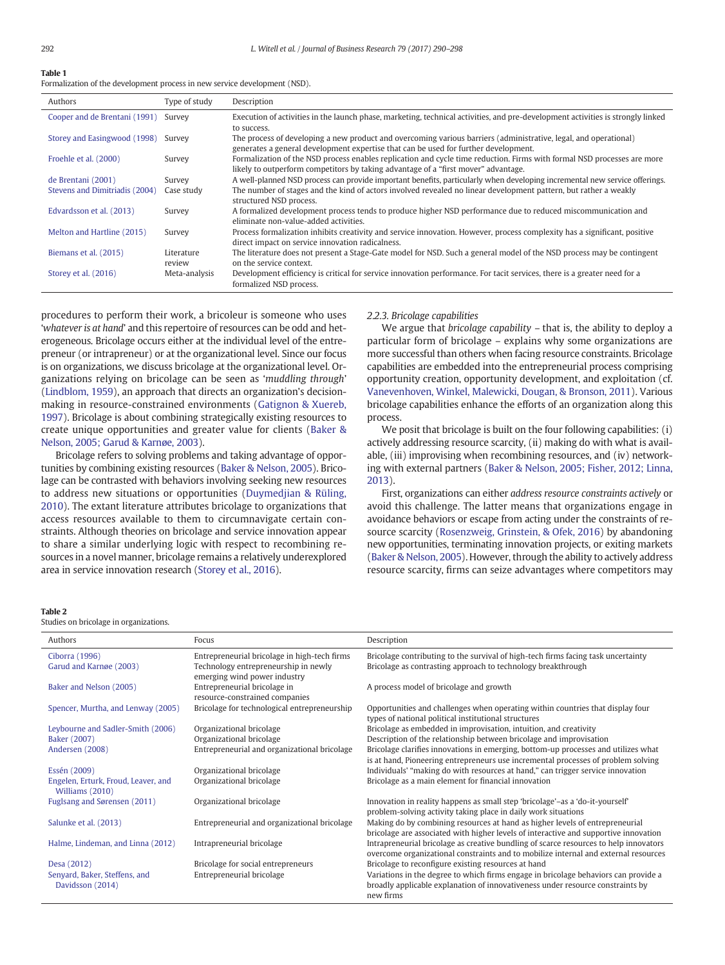# <span id="page-2-0"></span>Table 1

Formalization of the development process in new service development (NSD).

| Authors                        | Type of study        | Description                                                                                                                                                                                                   |
|--------------------------------|----------------------|---------------------------------------------------------------------------------------------------------------------------------------------------------------------------------------------------------------|
| Cooper and de Brentani (1991)  | Survey               | Execution of activities in the launch phase, marketing, technical activities, and pre-development activities is strongly linked<br>to success.                                                                |
| Storey and Easingwood (1998)   | Survey               | The process of developing a new product and overcoming various barriers (administrative, legal, and operational)<br>generates a general development expertise that can be used for further development.       |
| Froehle et al. (2000)          | Survey               | Formalization of the NSD process enables replication and cycle time reduction. Firms with formal NSD processes are more<br>likely to outperform competitors by taking advantage of a "first mover" advantage. |
| de Brentani (2001)             | Survey               | A well-planned NSD process can provide important benefits, particularly when developing incremental new service offerings.                                                                                    |
| Stevens and Dimitriadis (2004) | Case study           | The number of stages and the kind of actors involved revealed no linear development pattern, but rather a weakly<br>structured NSD process.                                                                   |
| Edvardsson et al. (2013)       | Survey               | A formalized development process tends to produce higher NSD performance due to reduced miscommunication and<br>eliminate non-value-added activities.                                                         |
| Melton and Hartline (2015)     | Survey               | Process formalization inhibits creativity and service innovation. However, process complexity has a significant, positive<br>direct impact on service innovation radicalness.                                 |
| Biemans et al. (2015)          | Literature<br>review | The literature does not present a Stage-Gate model for NSD, Such a general model of the NSD process may be contingent<br>on the service context.                                                              |
| Storey et al. (2016)           | Meta-analysis        | Development efficiency is critical for service innovation performance. For tacit services, there is a greater need for a<br>formalized NSD process.                                                           |

procedures to perform their work, a bricoleur is someone who uses 'whatever is at hand' and this repertoire of resources can be odd and heterogeneous. Bricolage occurs either at the individual level of the entrepreneur (or intrapreneur) or at the organizational level. Since our focus is on organizations, we discuss bricolage at the organizational level. Organizations relying on bricolage can be seen as 'muddling through' [\(Lindblom, 1959\)](#page-8-0), an approach that directs an organization's decisionmaking in resource-constrained environments [\(Gatignon & Xuereb,](#page-8-0) [1997\)](#page-8-0). Bricolage is about combining strategically existing resources to create unique opportunities and greater value for clients [\(Baker &](#page-7-0) [Nelson, 2005; Garud & Karnøe, 2003\)](#page-7-0).

Bricolage refers to solving problems and taking advantage of opportunities by combining existing resources [\(Baker & Nelson, 2005\)](#page-7-0). Bricolage can be contrasted with behaviors involving seeking new resources to address new situations or opportunities [\(Duymedjian & Rüling,](#page-8-0) [2010\)](#page-8-0). The extant literature attributes bricolage to organizations that access resources available to them to circumnavigate certain constraints. Although theories on bricolage and service innovation appear to share a similar underlying logic with respect to recombining resources in a novel manner, bricolage remains a relatively underexplored area in service innovation research ([Storey et al., 2016](#page-8-0)).

#### 2.2.3. Bricolage capabilities

We argue that *bricolage capability*  $-$  that is, the ability to deploy a particular form of bricolage – explains why some organizations are more successful than others when facing resource constraints. Bricolage capabilities are embedded into the entrepreneurial process comprising opportunity creation, opportunity development, and exploitation (cf. [Vanevenhoven, Winkel, Malewicki, Dougan, & Bronson, 2011\)](#page-8-0). Various bricolage capabilities enhance the efforts of an organization along this process.

We posit that bricolage is built on the four following capabilities: (i) actively addressing resource scarcity, (ii) making do with what is available, (iii) improvising when recombining resources, and (iv) networking with external partners [\(Baker & Nelson, 2005; Fisher, 2012; Linna,](#page-7-0) [2013\)](#page-7-0).

First, organizations can either address resource constraints actively or avoid this challenge. The latter means that organizations engage in avoidance behaviors or escape from acting under the constraints of resource scarcity [\(Rosenzweig, Grinstein, & Ofek, 2016](#page-8-0)) by abandoning new opportunities, terminating innovation projects, or exiting markets [\(Baker & Nelson, 2005](#page-7-0)). However, through the ability to actively address resource scarcity, firms can seize advantages where competitors may

#### Table 2

Studies on bricolage in organizations.

| aares on streetage in organisations.                   |                                                                      |                                                                                                                                                                                    |  |  |  |  |  |
|--------------------------------------------------------|----------------------------------------------------------------------|------------------------------------------------------------------------------------------------------------------------------------------------------------------------------------|--|--|--|--|--|
| Authors                                                | Focus                                                                | Description                                                                                                                                                                        |  |  |  |  |  |
| Ciborra (1996)                                         | Entrepreneurial bricolage in high-tech firms                         | Bricolage contributing to the survival of high-tech firms facing task uncertainty                                                                                                  |  |  |  |  |  |
| Garud and Karnøe (2003)                                | Technology entrepreneurship in newly<br>emerging wind power industry | Bricolage as contrasting approach to technology breakthrough                                                                                                                       |  |  |  |  |  |
| Baker and Nelson (2005)                                | Entrepreneurial bricolage in<br>resource-constrained companies       | A process model of bricolage and growth                                                                                                                                            |  |  |  |  |  |
| Spencer, Murtha, and Lenway (2005)                     | Bricolage for technological entrepreneurship                         | Opportunities and challenges when operating within countries that display four<br>types of national political institutional structures                                             |  |  |  |  |  |
| Leybourne and Sadler-Smith (2006)                      | Organizational bricolage                                             | Bricolage as embedded in improvisation, intuition, and creativity                                                                                                                  |  |  |  |  |  |
| Baker (2007)                                           | Organizational bricolage                                             | Description of the relationship between bricolage and improvisation                                                                                                                |  |  |  |  |  |
| Andersen (2008)                                        | Entrepreneurial and organizational bricolage                         | Bricolage clarifies innovations in emerging, bottom-up processes and utilizes what<br>is at hand, Pioneering entrepreneurs use incremental processes of problem solving            |  |  |  |  |  |
| Essén (2009)                                           | Organizational bricolage                                             | Individuals' "making do with resources at hand," can trigger service innovation                                                                                                    |  |  |  |  |  |
| Engelen, Erturk, Froud, Leaver, and<br>Williams (2010) | Organizational bricolage                                             | Bricolage as a main element for financial innovation                                                                                                                               |  |  |  |  |  |
| Fuglsang and Sørensen (2011)                           | Organizational bricolage                                             | Innovation in reality happens as small step 'bricolage'-as a 'do-it-yourself'<br>problem-solving activity taking place in daily work situations                                    |  |  |  |  |  |
| Salunke et al. (2013)                                  | Entrepreneurial and organizational bricolage                         | Making do by combining resources at hand as higher levels of entrepreneurial<br>bricolage are associated with higher levels of interactive and supportive innovation               |  |  |  |  |  |
| Halme, Lindeman, and Linna (2012)                      | Intrapreneurial bricolage                                            | Intrapreneurial bricolage as creative bundling of scarce resources to help innovators<br>overcome organizational constraints and to mobilize internal and external resources       |  |  |  |  |  |
| Desa (2012)                                            | Bricolage for social entrepreneurs                                   | Bricolage to reconfigure existing resources at hand                                                                                                                                |  |  |  |  |  |
| Senyard, Baker, Steffens, and<br>Davidsson (2014)      | Entrepreneurial bricolage                                            | Variations in the degree to which firms engage in bricolage behaviors can provide a<br>broadly applicable explanation of innovativeness under resource constraints by<br>new firms |  |  |  |  |  |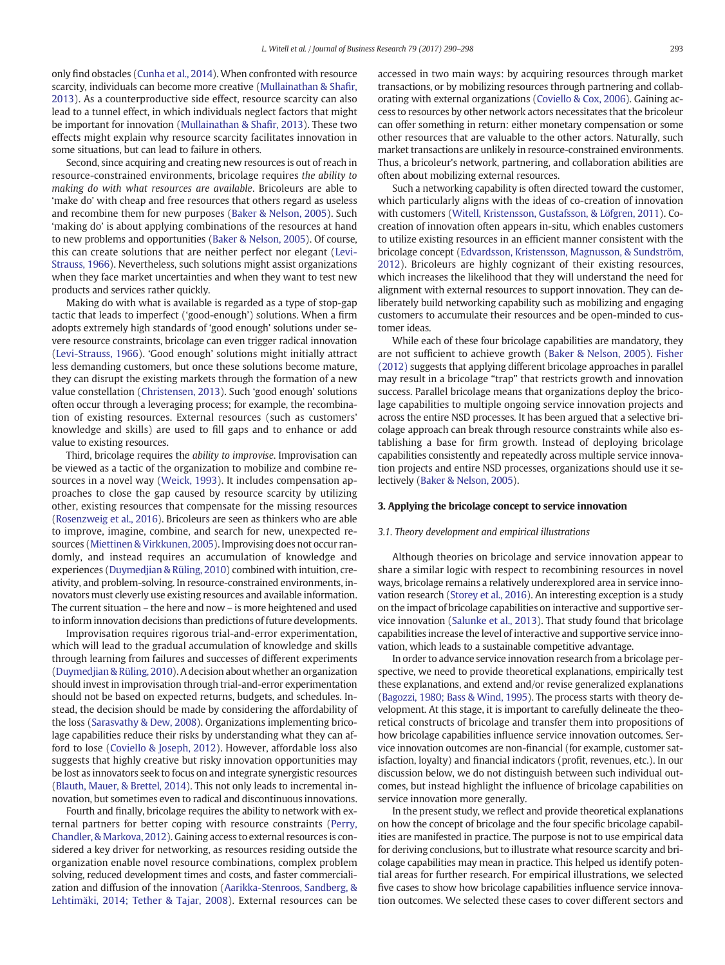only find obstacles ([Cunha et al., 2014\)](#page-7-0). When confronted with resource scarcity, individuals can become more creative ([Mullainathan & Sha](#page-8-0)fir, [2013\)](#page-8-0). As a counterproductive side effect, resource scarcity can also lead to a tunnel effect, in which individuals neglect factors that might be important for innovation ([Mullainathan & Sha](#page-8-0)fir, 2013). These two effects might explain why resource scarcity facilitates innovation in some situations, but can lead to failure in others.

Second, since acquiring and creating new resources is out of reach in resource-constrained environments, bricolage requires the ability to making do with what resources are available. Bricoleurs are able to 'make do' with cheap and free resources that others regard as useless and recombine them for new purposes [\(Baker & Nelson, 2005](#page-7-0)). Such 'making do' is about applying combinations of the resources at hand to new problems and opportunities ([Baker & Nelson, 2005\)](#page-7-0). Of course, this can create solutions that are neither perfect nor elegant [\(Levi-](#page-8-0)[Strauss, 1966\)](#page-8-0). Nevertheless, such solutions might assist organizations when they face market uncertainties and when they want to test new products and services rather quickly.

Making do with what is available is regarded as a type of stop-gap tactic that leads to imperfect ('good-enough') solutions. When a firm adopts extremely high standards of 'good enough' solutions under severe resource constraints, bricolage can even trigger radical innovation [\(Levi-Strauss, 1966\)](#page-8-0). 'Good enough' solutions might initially attract less demanding customers, but once these solutions become mature, they can disrupt the existing markets through the formation of a new value constellation [\(Christensen, 2013\)](#page-7-0). Such 'good enough' solutions often occur through a leveraging process; for example, the recombination of existing resources. External resources (such as customers' knowledge and skills) are used to fill gaps and to enhance or add value to existing resources.

Third, bricolage requires the ability to improvise. Improvisation can be viewed as a tactic of the organization to mobilize and combine resources in a novel way ([Weick, 1993\)](#page-8-0). It includes compensation approaches to close the gap caused by resource scarcity by utilizing other, existing resources that compensate for the missing resources [\(Rosenzweig et al., 2016](#page-8-0)). Bricoleurs are seen as thinkers who are able to improve, imagine, combine, and search for new, unexpected resources [\(Miettinen & Virkkunen, 2005\)](#page-8-0). Improvising does not occur randomly, and instead requires an accumulation of knowledge and experiences ([Duymedjian & Rüling, 2010\)](#page-8-0) combined with intuition, creativity, and problem-solving. In resource-constrained environments, innovators must cleverly use existing resources and available information. The current situation – the here and now – is more heightened and used to inform innovation decisions than predictions of future developments.

Improvisation requires rigorous trial-and-error experimentation, which will lead to the gradual accumulation of knowledge and skills through learning from failures and successes of different experiments [\(Duymedjian & Rüling, 2010\)](#page-8-0). A decision about whether an organization should invest in improvisation through trial-and-error experimentation should not be based on expected returns, budgets, and schedules. Instead, the decision should be made by considering the affordability of the loss [\(Sarasvathy & Dew, 2008](#page-8-0)). Organizations implementing bricolage capabilities reduce their risks by understanding what they can afford to lose ([Coviello & Joseph, 2012\)](#page-7-0). However, affordable loss also suggests that highly creative but risky innovation opportunities may be lost as innovators seek to focus on and integrate synergistic resources [\(Blauth, Mauer, & Brettel, 2014\)](#page-7-0). This not only leads to incremental innovation, but sometimes even to radical and discontinuous innovations.

Fourth and finally, bricolage requires the ability to network with external partners for better coping with resource constraints [\(Perry,](#page-8-0) [Chandler, & Markova, 2012\)](#page-8-0). Gaining access to external resources is considered a key driver for networking, as resources residing outside the organization enable novel resource combinations, complex problem solving, reduced development times and costs, and faster commercialization and diffusion of the innovation [\(Aarikka-Stenroos, Sandberg, &](#page-7-0) [Lehtimäki, 2014; Tether & Tajar, 2008](#page-7-0)). External resources can be accessed in two main ways: by acquiring resources through market transactions, or by mobilizing resources through partnering and collaborating with external organizations [\(Coviello & Cox, 2006\)](#page-7-0). Gaining access to resources by other network actors necessitates that the bricoleur can offer something in return: either monetary compensation or some other resources that are valuable to the other actors. Naturally, such market transactions are unlikely in resource-constrained environments. Thus, a bricoleur's network, partnering, and collaboration abilities are often about mobilizing external resources.

Such a networking capability is often directed toward the customer, which particularly aligns with the ideas of co-creation of innovation with customers ([Witell, Kristensson, Gustafsson, & Löfgren, 2011\)](#page-8-0). Cocreation of innovation often appears in-situ, which enables customers to utilize existing resources in an efficient manner consistent with the bricolage concept ([Edvardsson, Kristensson, Magnusson, & Sundström,](#page-8-0) [2012\)](#page-8-0). Bricoleurs are highly cognizant of their existing resources, which increases the likelihood that they will understand the need for alignment with external resources to support innovation. They can deliberately build networking capability such as mobilizing and engaging customers to accumulate their resources and be open-minded to customer ideas.

While each of these four bricolage capabilities are mandatory, they are not sufficient to achieve growth ([Baker & Nelson, 2005](#page-7-0)). [Fisher](#page-8-0) [\(2012\)](#page-8-0) suggests that applying different bricolage approaches in parallel may result in a bricolage "trap" that restricts growth and innovation success. Parallel bricolage means that organizations deploy the bricolage capabilities to multiple ongoing service innovation projects and across the entire NSD processes. It has been argued that a selective bricolage approach can break through resource constraints while also establishing a base for firm growth. Instead of deploying bricolage capabilities consistently and repeatedly across multiple service innovation projects and entire NSD processes, organizations should use it selectively ([Baker & Nelson, 2005](#page-7-0)).

#### 3. Applying the bricolage concept to service innovation

#### 3.1. Theory development and empirical illustrations

Although theories on bricolage and service innovation appear to share a similar logic with respect to recombining resources in novel ways, bricolage remains a relatively underexplored area in service innovation research [\(Storey et al., 2016\)](#page-8-0). An interesting exception is a study on the impact of bricolage capabilities on interactive and supportive service innovation ([Salunke et al., 2013](#page-8-0)). That study found that bricolage capabilities increase the level of interactive and supportive service innovation, which leads to a sustainable competitive advantage.

In order to advance service innovation research from a bricolage perspective, we need to provide theoretical explanations, empirically test these explanations, and extend and/or revise generalized explanations [\(Bagozzi, 1980; Bass & Wind, 1995](#page-7-0)). The process starts with theory development. At this stage, it is important to carefully delineate the theoretical constructs of bricolage and transfer them into propositions of how bricolage capabilities influence service innovation outcomes. Service innovation outcomes are non-financial (for example, customer satisfaction, loyalty) and financial indicators (profit, revenues, etc.). In our discussion below, we do not distinguish between such individual outcomes, but instead highlight the influence of bricolage capabilities on service innovation more generally.

In the present study, we reflect and provide theoretical explanations on how the concept of bricolage and the four specific bricolage capabilities are manifested in practice. The purpose is not to use empirical data for deriving conclusions, but to illustrate what resource scarcity and bricolage capabilities may mean in practice. This helped us identify potential areas for further research. For empirical illustrations, we selected five cases to show how bricolage capabilities influence service innovation outcomes. We selected these cases to cover different sectors and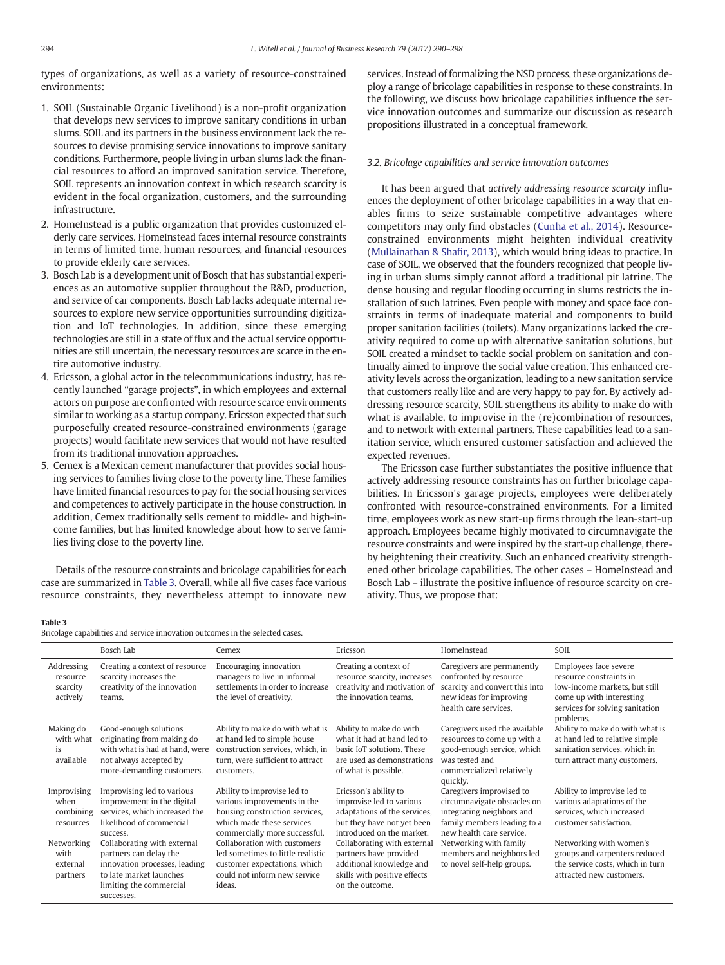types of organizations, as well as a variety of resource-constrained environments:

- 1. SOIL (Sustainable Organic Livelihood) is a non-profit organization that develops new services to improve sanitary conditions in urban slums. SOIL and its partners in the business environment lack the resources to devise promising service innovations to improve sanitary conditions. Furthermore, people living in urban slums lack the financial resources to afford an improved sanitation service. Therefore, SOIL represents an innovation context in which research scarcity is evident in the focal organization, customers, and the surrounding infrastructure.
- 2. HomeInstead is a public organization that provides customized elderly care services. HomeInstead faces internal resource constraints in terms of limited time, human resources, and financial resources to provide elderly care services.
- 3. Bosch Lab is a development unit of Bosch that has substantial experiences as an automotive supplier throughout the R&D, production, and service of car components. Bosch Lab lacks adequate internal resources to explore new service opportunities surrounding digitization and IoT technologies. In addition, since these emerging technologies are still in a state of flux and the actual service opportunities are still uncertain, the necessary resources are scarce in the entire automotive industry.
- 4. Ericsson, a global actor in the telecommunications industry, has recently launched "garage projects", in which employees and external actors on purpose are confronted with resource scarce environments similar to working as a startup company. Ericsson expected that such purposefully created resource-constrained environments (garage projects) would facilitate new services that would not have resulted from its traditional innovation approaches.
- 5. Cemex is a Mexican cement manufacturer that provides social housing services to families living close to the poverty line. These families have limited financial resources to pay for the social housing services and competences to actively participate in the house construction. In addition, Cemex traditionally sells cement to middle- and high-income families, but has limited knowledge about how to serve families living close to the poverty line.

Details of the resource constraints and bricolage capabilities for each case are summarized in Table 3. Overall, while all five cases face various resource constraints, they nevertheless attempt to innovate new

services. Instead of formalizing the NSD process, these organizations deploy a range of bricolage capabilities in response to these constraints. In the following, we discuss how bricolage capabilities influence the service innovation outcomes and summarize our discussion as research propositions illustrated in a conceptual framework.

### 3.2. Bricolage capabilities and service innovation outcomes

It has been argued that actively addressing resource scarcity influences the deployment of other bricolage capabilities in a way that enables firms to seize sustainable competitive advantages where competitors may only find obstacles ([Cunha et al., 2014](#page-7-0)). Resourceconstrained environments might heighten individual creativity [\(Mullainathan & Sha](#page-8-0)fir, 2013), which would bring ideas to practice. In case of SOIL, we observed that the founders recognized that people living in urban slums simply cannot afford a traditional pit latrine. The dense housing and regular flooding occurring in slums restricts the installation of such latrines. Even people with money and space face constraints in terms of inadequate material and components to build proper sanitation facilities (toilets). Many organizations lacked the creativity required to come up with alternative sanitation solutions, but SOIL created a mindset to tackle social problem on sanitation and continually aimed to improve the social value creation. This enhanced creativity levels across the organization, leading to a new sanitation service that customers really like and are very happy to pay for. By actively addressing resource scarcity, SOIL strengthens its ability to make do with what is available, to improvise in the (re)combination of resources, and to network with external partners. These capabilities lead to a sanitation service, which ensured customer satisfaction and achieved the expected revenues.

The Ericsson case further substantiates the positive influence that actively addressing resource constraints has on further bricolage capabilities. In Ericsson's garage projects, employees were deliberately confronted with resource-constrained environments. For a limited time, employees work as new start-up firms through the lean-start-up approach. Employees became highly motivated to circumnavigate the resource constraints and were inspired by the start-up challenge, thereby heightening their creativity. Such an enhanced creativity strengthened other bricolage capabilities. The other cases – HomeInstead and Bosch Lab – illustrate the positive influence of resource scarcity on creativity. Thus, we propose that:

#### Table 3

Bricolage capabilities and service innovation outcomes in the selected cases.

|                                                | Bosch Lab                                                                                                                                                  | Cemex                                                                                                                                                      | Ericsson                                                                                                                                     | HomeInstead                                                                                                                                           | SOIL                                                                                                                                                          |
|------------------------------------------------|------------------------------------------------------------------------------------------------------------------------------------------------------------|------------------------------------------------------------------------------------------------------------------------------------------------------------|----------------------------------------------------------------------------------------------------------------------------------------------|-------------------------------------------------------------------------------------------------------------------------------------------------------|---------------------------------------------------------------------------------------------------------------------------------------------------------------|
| Addressing<br>resource<br>scarcity<br>actively | Creating a context of resource<br>scarcity increases the<br>creativity of the innovation<br>teams.                                                         | Encouraging innovation<br>managers to live in informal<br>settlements in order to increase<br>the level of creativity.                                     | Creating a context of<br>resource scarcity, increases<br>creativity and motivation of<br>the innovation teams.                               | Caregivers are permanently<br>confronted by resource<br>scarcity and convert this into<br>new ideas for improving<br>health care services.            | Employees face severe<br>resource constraints in<br>low-income markets, but still<br>come up with interesting<br>services for solving sanitation<br>problems. |
| Making do<br>with what<br>is<br>available      | Good-enough solutions<br>originating from making do<br>with what is had at hand, were<br>not always accepted by<br>more-demanding customers.               | Ability to make do with what is<br>at hand led to simple house<br>construction services, which, in<br>turn, were sufficient to attract<br>customers.       | Ability to make do with<br>what it had at hand led to<br>basic IoT solutions. These<br>are used as demonstrations<br>of what is possible.    | Caregivers used the available<br>resources to come up with a<br>good-enough service, which<br>was tested and<br>commercialized relatively<br>quickly. | Ability to make do with what is<br>at hand led to relative simple<br>sanitation services, which in<br>turn attract many customers.                            |
| Improvising<br>when<br>combining<br>resources  | Improvising led to various<br>improvement in the digital<br>services, which increased the<br>likelihood of commercial<br>success.                          | Ability to improvise led to<br>various improvements in the<br>housing construction services,<br>which made these services<br>commercially more successful. | Ericsson's ability to<br>improvise led to various<br>adaptations of the services,<br>but they have not yet been<br>introduced on the market. | Caregivers improvised to<br>circumnavigate obstacles on<br>integrating neighbors and<br>family members leading to a<br>new health care service.       | Ability to improvise led to<br>various adaptations of the<br>services, which increased<br>customer satisfaction.                                              |
| Networking<br>with<br>external<br>partners     | Collaborating with external<br>partners can delay the<br>innovation processes, leading<br>to late market launches<br>limiting the commercial<br>successes. | Collaboration with customers<br>led sometimes to little realistic<br>customer expectations, which<br>could not inform new service<br>ideas.                | Collaborating with external<br>partners have provided<br>additional knowledge and<br>skills with positive effects<br>on the outcome.         | Networking with family<br>members and neighbors led<br>to novel self-help groups.                                                                     | Networking with women's<br>groups and carpenters reduced<br>the service costs, which in turn<br>attracted new customers.                                      |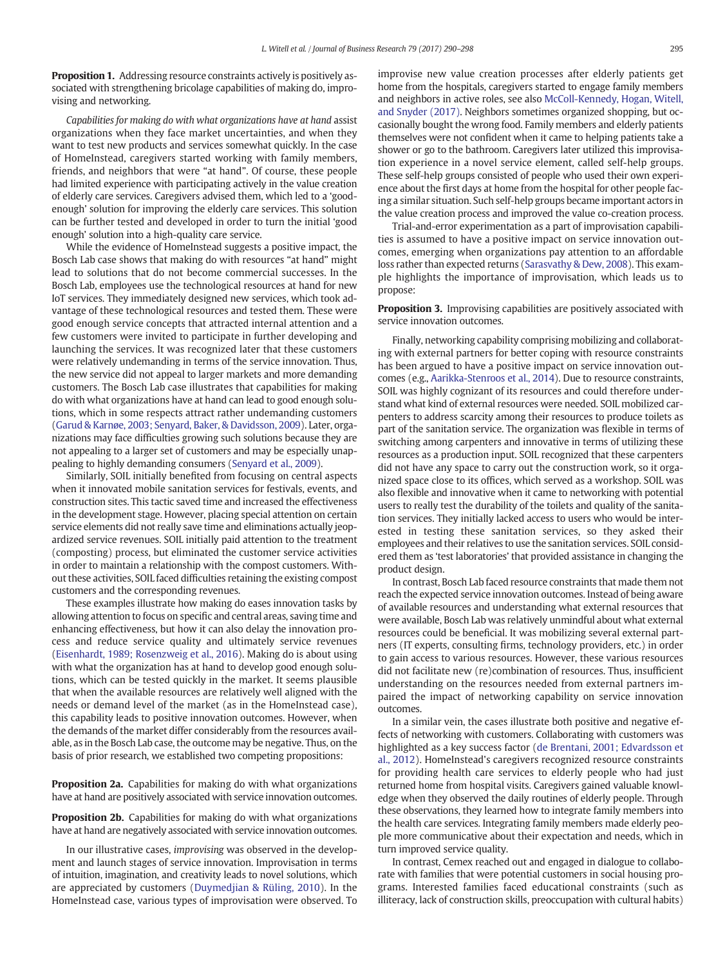Proposition 1. Addressing resource constraints actively is positively associated with strengthening bricolage capabilities of making do, improvising and networking.

Capabilities for making do with what organizations have at hand assist organizations when they face market uncertainties, and when they want to test new products and services somewhat quickly. In the case of HomeInstead, caregivers started working with family members, friends, and neighbors that were "at hand". Of course, these people had limited experience with participating actively in the value creation of elderly care services. Caregivers advised them, which led to a 'goodenough' solution for improving the elderly care services. This solution can be further tested and developed in order to turn the initial 'good enough' solution into a high-quality care service.

While the evidence of HomeInstead suggests a positive impact, the Bosch Lab case shows that making do with resources "at hand" might lead to solutions that do not become commercial successes. In the Bosch Lab, employees use the technological resources at hand for new IoT services. They immediately designed new services, which took advantage of these technological resources and tested them. These were good enough service concepts that attracted internal attention and a few customers were invited to participate in further developing and launching the services. It was recognized later that these customers were relatively undemanding in terms of the service innovation. Thus, the new service did not appeal to larger markets and more demanding customers. The Bosch Lab case illustrates that capabilities for making do with what organizations have at hand can lead to good enough solutions, which in some respects attract rather undemanding customers [\(Garud & Karnøe, 2003; Senyard, Baker, & Davidsson, 2009\)](#page-8-0). Later, organizations may face difficulties growing such solutions because they are not appealing to a larger set of customers and may be especially unappealing to highly demanding consumers ([Senyard et al., 2009](#page-8-0)).

Similarly, SOIL initially benefited from focusing on central aspects when it innovated mobile sanitation services for festivals, events, and construction sites. This tactic saved time and increased the effectiveness in the development stage. However, placing special attention on certain service elements did not really save time and eliminations actually jeopardized service revenues. SOIL initially paid attention to the treatment (composting) process, but eliminated the customer service activities in order to maintain a relationship with the compost customers. Without these activities, SOIL faced difficulties retaining the existing compost customers and the corresponding revenues.

These examples illustrate how making do eases innovation tasks by allowing attention to focus on specific and central areas, saving time and enhancing effectiveness, but how it can also delay the innovation process and reduce service quality and ultimately service revenues [\(Eisenhardt, 1989; Rosenzweig et al., 2016\)](#page-8-0). Making do is about using with what the organization has at hand to develop good enough solutions, which can be tested quickly in the market. It seems plausible that when the available resources are relatively well aligned with the needs or demand level of the market (as in the HomeInstead case), this capability leads to positive innovation outcomes. However, when the demands of the market differ considerably from the resources available, as in the Bosch Lab case, the outcome may be negative. Thus, on the basis of prior research, we established two competing propositions:

**Proposition 2a.** Capabilities for making do with what organizations have at hand are positively associated with service innovation outcomes.

Proposition 2b. Capabilities for making do with what organizations have at hand are negatively associated with service innovation outcomes.

In our illustrative cases, improvising was observed in the development and launch stages of service innovation. Improvisation in terms of intuition, imagination, and creativity leads to novel solutions, which are appreciated by customers ([Duymedjian & Rüling, 2010](#page-8-0)). In the HomeInstead case, various types of improvisation were observed. To

improvise new value creation processes after elderly patients get home from the hospitals, caregivers started to engage family members and neighbors in active roles, see also [McColl-Kennedy, Hogan, Witell,](#page-8-0) [and Snyder \(2017\).](#page-8-0) Neighbors sometimes organized shopping, but occasionally bought the wrong food. Family members and elderly patients themselves were not confident when it came to helping patients take a shower or go to the bathroom. Caregivers later utilized this improvisation experience in a novel service element, called self-help groups. These self-help groups consisted of people who used their own experience about the first days at home from the hospital for other people facing a similar situation. Such self-help groups became important actors in the value creation process and improved the value co-creation process.

Trial-and-error experimentation as a part of improvisation capabilities is assumed to have a positive impact on service innovation outcomes, emerging when organizations pay attention to an affordable loss rather than expected returns [\(Sarasvathy & Dew, 2008\)](#page-8-0). This example highlights the importance of improvisation, which leads us to propose:

Proposition 3. Improvising capabilities are positively associated with service innovation outcomes.

Finally, networking capability comprising mobilizing and collaborating with external partners for better coping with resource constraints has been argued to have a positive impact on service innovation outcomes (e.g., [Aarikka-Stenroos et al., 2014\)](#page-7-0). Due to resource constraints, SOIL was highly cognizant of its resources and could therefore understand what kind of external resources were needed. SOIL mobilized carpenters to address scarcity among their resources to produce toilets as part of the sanitation service. The organization was flexible in terms of switching among carpenters and innovative in terms of utilizing these resources as a production input. SOIL recognized that these carpenters did not have any space to carry out the construction work, so it organized space close to its offices, which served as a workshop. SOIL was also flexible and innovative when it came to networking with potential users to really test the durability of the toilets and quality of the sanitation services. They initially lacked access to users who would be interested in testing these sanitation services, so they asked their employees and their relatives to use the sanitation services. SOIL considered them as 'test laboratories' that provided assistance in changing the product design.

In contrast, Bosch Lab faced resource constraints that made them not reach the expected service innovation outcomes. Instead of being aware of available resources and understanding what external resources that were available, Bosch Lab was relatively unmindful about what external resources could be beneficial. It was mobilizing several external partners (IT experts, consulting firms, technology providers, etc.) in order to gain access to various resources. However, these various resources did not facilitate new (re)combination of resources. Thus, insufficient understanding on the resources needed from external partners impaired the impact of networking capability on service innovation outcomes.

In a similar vein, the cases illustrate both positive and negative effects of networking with customers. Collaborating with customers was highlighted as a key success factor [\(de Brentani, 2001; Edvardsson et](#page-7-0) [al., 2012](#page-7-0)). HomeInstead's caregivers recognized resource constraints for providing health care services to elderly people who had just returned home from hospital visits. Caregivers gained valuable knowledge when they observed the daily routines of elderly people. Through these observations, they learned how to integrate family members into the health care services. Integrating family members made elderly people more communicative about their expectation and needs, which in turn improved service quality.

In contrast, Cemex reached out and engaged in dialogue to collaborate with families that were potential customers in social housing programs. Interested families faced educational constraints (such as illiteracy, lack of construction skills, preoccupation with cultural habits)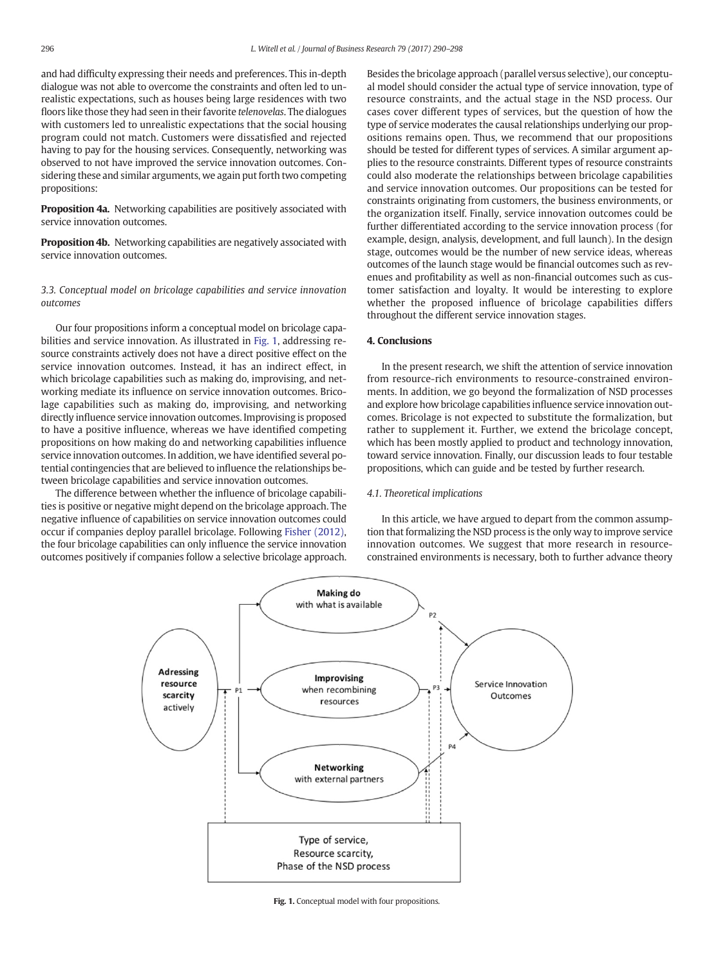and had difficulty expressing their needs and preferences. This in-depth dialogue was not able to overcome the constraints and often led to unrealistic expectations, such as houses being large residences with two floors like those they had seen in their favorite telenovelas. The dialogues with customers led to unrealistic expectations that the social housing program could not match. Customers were dissatisfied and rejected having to pay for the housing services. Consequently, networking was observed to not have improved the service innovation outcomes. Considering these and similar arguments, we again put forth two competing propositions:

Proposition 4a. Networking capabilities are positively associated with service innovation outcomes.

Proposition 4b. Networking capabilities are negatively associated with service innovation outcomes.

3.3. Conceptual model on bricolage capabilities and service innovation outcomes

Our four propositions inform a conceptual model on bricolage capabilities and service innovation. As illustrated in Fig. 1, addressing resource constraints actively does not have a direct positive effect on the service innovation outcomes. Instead, it has an indirect effect, in which bricolage capabilities such as making do, improvising, and networking mediate its influence on service innovation outcomes. Bricolage capabilities such as making do, improvising, and networking directly influence service innovation outcomes. Improvising is proposed to have a positive influence, whereas we have identified competing propositions on how making do and networking capabilities influence service innovation outcomes. In addition, we have identified several potential contingencies that are believed to influence the relationships between bricolage capabilities and service innovation outcomes.

The difference between whether the influence of bricolage capabilities is positive or negative might depend on the bricolage approach. The negative influence of capabilities on service innovation outcomes could occur if companies deploy parallel bricolage. Following [Fisher \(2012\),](#page-8-0) the four bricolage capabilities can only influence the service innovation outcomes positively if companies follow a selective bricolage approach.

Besides the bricolage approach (parallel versus selective), our conceptual model should consider the actual type of service innovation, type of resource constraints, and the actual stage in the NSD process. Our cases cover different types of services, but the question of how the type of service moderates the causal relationships underlying our propositions remains open. Thus, we recommend that our propositions should be tested for different types of services. A similar argument applies to the resource constraints. Different types of resource constraints could also moderate the relationships between bricolage capabilities and service innovation outcomes. Our propositions can be tested for constraints originating from customers, the business environments, or the organization itself. Finally, service innovation outcomes could be further differentiated according to the service innovation process (for example, design, analysis, development, and full launch). In the design stage, outcomes would be the number of new service ideas, whereas outcomes of the launch stage would be financial outcomes such as revenues and profitability as well as non-financial outcomes such as customer satisfaction and loyalty. It would be interesting to explore whether the proposed influence of bricolage capabilities differs throughout the different service innovation stages.

# 4. Conclusions

In the present research, we shift the attention of service innovation from resource-rich environments to resource-constrained environments. In addition, we go beyond the formalization of NSD processes and explore how bricolage capabilities influence service innovation outcomes. Bricolage is not expected to substitute the formalization, but rather to supplement it. Further, we extend the bricolage concept, which has been mostly applied to product and technology innovation, toward service innovation. Finally, our discussion leads to four testable propositions, which can guide and be tested by further research.

#### 4.1. Theoretical implications

In this article, we have argued to depart from the common assumption that formalizing the NSD process is the only way to improve service innovation outcomes. We suggest that more research in resourceconstrained environments is necessary, both to further advance theory



Fig. 1. Conceptual model with four propositions.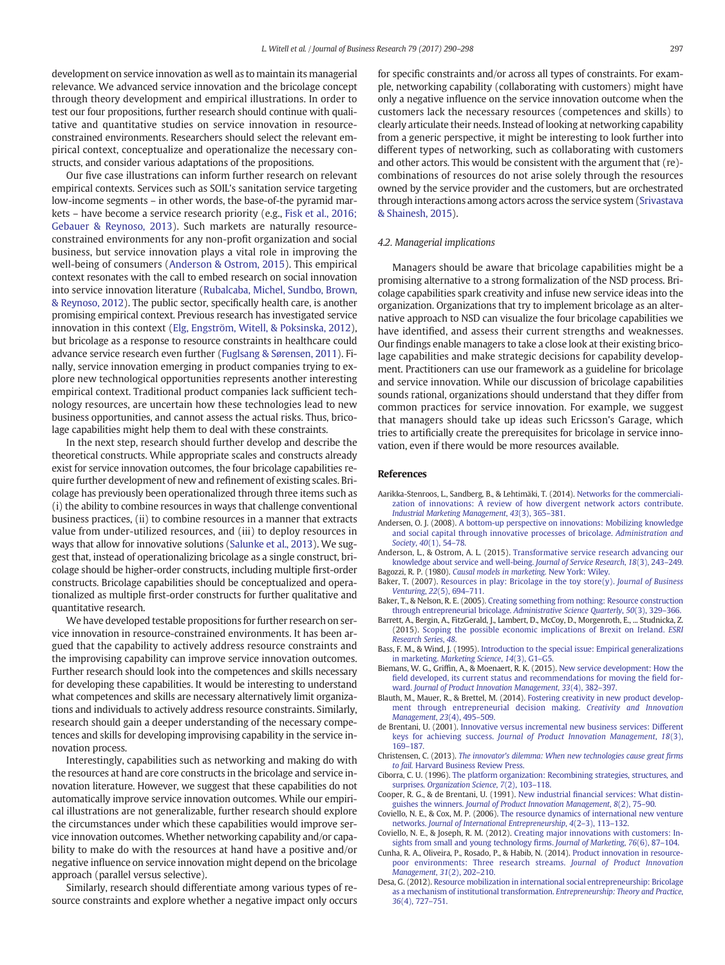<span id="page-7-0"></span>development on service innovation as well as to maintain its managerial relevance. We advanced service innovation and the bricolage concept through theory development and empirical illustrations. In order to test our four propositions, further research should continue with qualitative and quantitative studies on service innovation in resourceconstrained environments. Researchers should select the relevant empirical context, conceptualize and operationalize the necessary constructs, and consider various adaptations of the propositions.

Our five case illustrations can inform further research on relevant empirical contexts. Services such as SOIL's sanitation service targeting low-income segments – in other words, the base-of-the pyramid markets – have become a service research priority (e.g., [Fisk et al., 2016;](#page-8-0) [Gebauer & Reynoso, 2013\)](#page-8-0). Such markets are naturally resourceconstrained environments for any non-profit organization and social business, but service innovation plays a vital role in improving the well-being of consumers (Anderson & Ostrom, 2015). This empirical context resonates with the call to embed research on social innovation into service innovation literature [\(Rubalcaba, Michel, Sundbo, Brown,](#page-8-0) [& Reynoso, 2012\)](#page-8-0). The public sector, specifically health care, is another promising empirical context. Previous research has investigated service innovation in this context [\(Elg, Engström, Witell, & Poksinska, 2012](#page-8-0)), but bricolage as a response to resource constraints in healthcare could advance service research even further [\(Fuglsang & Sørensen, 2011](#page-8-0)). Finally, service innovation emerging in product companies trying to explore new technological opportunities represents another interesting empirical context. Traditional product companies lack sufficient technology resources, are uncertain how these technologies lead to new business opportunities, and cannot assess the actual risks. Thus, bricolage capabilities might help them to deal with these constraints.

In the next step, research should further develop and describe the theoretical constructs. While appropriate scales and constructs already exist for service innovation outcomes, the four bricolage capabilities require further development of new and refinement of existing scales. Bricolage has previously been operationalized through three items such as (i) the ability to combine resources in ways that challenge conventional business practices, (ii) to combine resources in a manner that extracts value from under-utilized resources, and (iii) to deploy resources in ways that allow for innovative solutions [\(Salunke et al., 2013\)](#page-8-0). We suggest that, instead of operationalizing bricolage as a single construct, bricolage should be higher-order constructs, including multiple first-order constructs. Bricolage capabilities should be conceptualized and operationalized as multiple first-order constructs for further qualitative and quantitative research.

We have developed testable propositions for further research on service innovation in resource-constrained environments. It has been argued that the capability to actively address resource constraints and the improvising capability can improve service innovation outcomes. Further research should look into the competences and skills necessary for developing these capabilities. It would be interesting to understand what competences and skills are necessary alternatively limit organizations and individuals to actively address resource constraints. Similarly, research should gain a deeper understanding of the necessary competences and skills for developing improvising capability in the service innovation process.

Interestingly, capabilities such as networking and making do with the resources at hand are core constructs in the bricolage and service innovation literature. However, we suggest that these capabilities do not automatically improve service innovation outcomes. While our empirical illustrations are not generalizable, further research should explore the circumstances under which these capabilities would improve service innovation outcomes. Whether networking capability and/or capability to make do with the resources at hand have a positive and/or negative influence on service innovation might depend on the bricolage approach (parallel versus selective).

Similarly, research should differentiate among various types of resource constraints and explore whether a negative impact only occurs for specific constraints and/or across all types of constraints. For example, networking capability (collaborating with customers) might have only a negative influence on the service innovation outcome when the customers lack the necessary resources (competences and skills) to clearly articulate their needs. Instead of looking at networking capability from a generic perspective, it might be interesting to look further into different types of networking, such as collaborating with customers and other actors. This would be consistent with the argument that (re) combinations of resources do not arise solely through the resources owned by the service provider and the customers, but are orchestrated through interactions among actors across the service system ([Srivastava](#page-8-0) [& Shainesh, 2015](#page-8-0)).

#### 4.2. Managerial implications

Managers should be aware that bricolage capabilities might be a promising alternative to a strong formalization of the NSD process. Bricolage capabilities spark creativity and infuse new service ideas into the organization. Organizations that try to implement bricolage as an alternative approach to NSD can visualize the four bricolage capabilities we have identified, and assess their current strengths and weaknesses. Our findings enable managers to take a close look at their existing bricolage capabilities and make strategic decisions for capability development. Practitioners can use our framework as a guideline for bricolage and service innovation. While our discussion of bricolage capabilities sounds rational, organizations should understand that they differ from common practices for service innovation. For example, we suggest that managers should take up ideas such Ericsson's Garage, which tries to artificially create the prerequisites for bricolage in service innovation, even if there would be more resources available.

### References

- Aarikka-Stenroos, L., Sandberg, B., & Lehtimäki, T. (2014). [Networks for the commerciali](http://refhub.elsevier.com/S0148-2963(17)30109-1/rf0005)[zation of innovations: A review of how divergent network actors contribute.](http://refhub.elsevier.com/S0148-2963(17)30109-1/rf0005) [Industrial Marketing Management](http://refhub.elsevier.com/S0148-2963(17)30109-1/rf0005), 43(3), 365–381.
- Andersen, O. J. (2008). [A bottom-up perspective on innovations: Mobilizing knowledge](http://refhub.elsevier.com/S0148-2963(17)30109-1/rf0010) [and social capital through innovative processes of bricolage.](http://refhub.elsevier.com/S0148-2963(17)30109-1/rf0010) Administration and Society, 40[\(1\), 54](http://refhub.elsevier.com/S0148-2963(17)30109-1/rf0010)–78.
- Anderson, L., & Ostrom, A. L. (2015). [Transformative service research advancing our](http://refhub.elsevier.com/S0148-2963(17)30109-1/rf0015) [knowledge about service and well-being.](http://refhub.elsevier.com/S0148-2963(17)30109-1/rf0015) Journal of Service Research, 18(3), 243–249. Bagozzi, R. P. (1980). [Causal models in marketing.](http://refhub.elsevier.com/S0148-2963(17)30109-1/rf0020) New York: Wiley.
- Baker, T. (2007). [Resources in play: Bricolage in the toy store\(y\).](http://refhub.elsevier.com/S0148-2963(17)30109-1/rf0025) Journal of Business [Venturing](http://refhub.elsevier.com/S0148-2963(17)30109-1/rf0025), 22(5), 694–711.
- Baker, T., & Nelson, R. E. (2005). [Creating something from nothing: Resource construction](http://refhub.elsevier.com/S0148-2963(17)30109-1/rf0035) [through entrepreneurial bricolage.](http://refhub.elsevier.com/S0148-2963(17)30109-1/rf0035) Administrative Science Quarterly, 50(3), 329–366.
- Barrett, A., Bergin, A., FitzGerald, J., Lambert, D., McCoy, D., Morgenroth, E., ... Studnicka, Z. (2015). [Scoping the possible economic implications of Brexit on Ireland.](http://refhub.elsevier.com/S0148-2963(17)30109-1/rf0040) ESRI [Research Series](http://refhub.elsevier.com/S0148-2963(17)30109-1/rf0040), 48.
- Bass, F. M., & Wind, J. (1995). [Introduction to the special issue: Empirical generalizations](http://refhub.elsevier.com/S0148-2963(17)30109-1/rf0045) in marketing. [Marketing Science](http://refhub.elsevier.com/S0148-2963(17)30109-1/rf0045), 14(3), G1–G5.
- Biemans, W. G., Griffin, A., & Moenaert, R. K. (2015). [New service development: How the](http://refhub.elsevier.com/S0148-2963(17)30109-1/rf0050) fi[eld developed, its current status and recommendations for moving the](http://refhub.elsevier.com/S0148-2963(17)30109-1/rf0050) field forward. [Journal of Product Innovation Management](http://refhub.elsevier.com/S0148-2963(17)30109-1/rf0050), 33(4), 382–397.
- Blauth, M., Mauer, R., & Brettel, M. (2014). [Fostering creativity in new product develop](http://refhub.elsevier.com/S0148-2963(17)30109-1/rf0055)[ment through entrepreneurial decision making.](http://refhub.elsevier.com/S0148-2963(17)30109-1/rf0055) Creativity and Innovation [Management](http://refhub.elsevier.com/S0148-2963(17)30109-1/rf0055), 23(4), 495–509.
- de Brentani, U. (2001). [Innovative versus incremental new business services: Different](http://refhub.elsevier.com/S0148-2963(17)30109-1/rf0060) keys for achieving success. [Journal of Product Innovation Management](http://refhub.elsevier.com/S0148-2963(17)30109-1/rf0060), 18(3), 169–[187.](http://refhub.elsevier.com/S0148-2963(17)30109-1/rf0060)
- Christensen, C. (2013). [The innovator's dilemma: When new technologies cause great](http://refhub.elsevier.com/S0148-2963(17)30109-1/rf0065) firms to fail. [Harvard Business Review Press.](http://refhub.elsevier.com/S0148-2963(17)30109-1/rf0065)
- Ciborra, C. U. (1996). [The platform organization: Recombining strategies, structures, and](http://refhub.elsevier.com/S0148-2963(17)30109-1/rf0070) surprises. [Organization Science](http://refhub.elsevier.com/S0148-2963(17)30109-1/rf0070), 7(2), 103-118.
- Cooper, R. G., & de Brentani, U. (1991). New industrial fi[nancial services: What distin](http://refhub.elsevier.com/S0148-2963(17)30109-1/rf0075)guishes the winners. [Journal of Product Innovation Management](http://refhub.elsevier.com/S0148-2963(17)30109-1/rf0075), 8(2), 75–90.
- Coviello, N. E., & Cox, M. P. (2006). [The resource dynamics of international new venture](http://refhub.elsevier.com/S0148-2963(17)30109-1/rf0080) networks. [Journal of International Entrepreneurship](http://refhub.elsevier.com/S0148-2963(17)30109-1/rf0080), 4(2–3), 113–132.
- Coviello, N. E., & Joseph, R. M. (2012). [Creating major innovations with customers: In](http://refhub.elsevier.com/S0148-2963(17)30109-1/rf0085)[sights from small and young technology](http://refhub.elsevier.com/S0148-2963(17)30109-1/rf0085) firms. Journal of Marketing, 76(6), 87–104.
- Cunha, R. A., Oliveira, P., Rosado, P., & Habib, N. (2014). [Product innovation in resource](http://refhub.elsevier.com/S0148-2963(17)30109-1/rf0090)[poor environments: Three research streams.](http://refhub.elsevier.com/S0148-2963(17)30109-1/rf0090) Journal of Product Innovation [Management](http://refhub.elsevier.com/S0148-2963(17)30109-1/rf0090), 31(2), 202–210.
- Desa, G. (2012). [Resource mobilization in international social entrepreneurship: Bricolage](http://refhub.elsevier.com/S0148-2963(17)30109-1/rf0095) [as a mechanism of institutional transformation.](http://refhub.elsevier.com/S0148-2963(17)30109-1/rf0095) Entrepreneurship: Theory and Practice, 36[\(4\), 727](http://refhub.elsevier.com/S0148-2963(17)30109-1/rf0095)–751.